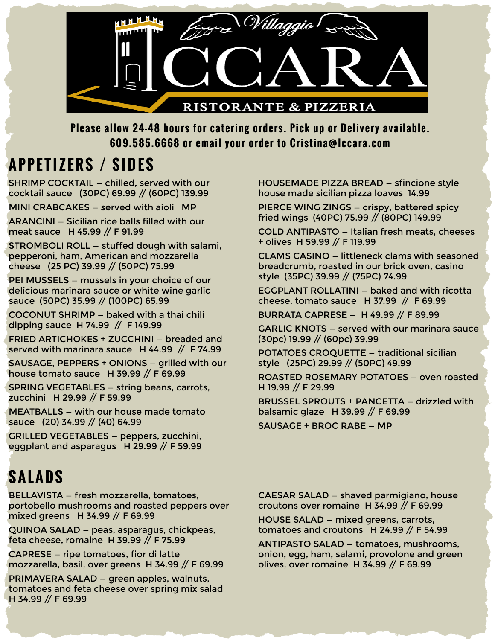

**Please allow 24-48 hours for catering orders. Pick up or Delivery available. 609.585.6668 or email your order to Cristina@Iccara.com**

#### **APPETIZERS / SIDES**

SHRIMP COCKTAIL — chilled, served with our cocktail sauce (30PC) 69.99 // (60PC) 139.99

STROMBOLI ROLL – stuffed dough with salami,  $\vert$  + olives H 59.99 // F 119.99 pepperoni, ham, American and mozzarella cheese (25 PC) 39.99 // (50PC) 75.99

style (35PC) 39.99 // (75PC) 74.99 PEI MUSSELS — mussels in your choice of our delicious marinara sauce or white wine garlic sauce (50PC) 35.99 // (100PC) 65.99

COCONUT SHRIMP — baked with a thai chili dipping sauce H 74.99 // F 149.99

FRIED ARTICHOKES + ZUCCHINI — breaded and served with marinara sauce H 44.99 // F 74.99

SAUSAGE, PEPPERS + ONIONS — grilled with our house tomato sauce H 39.99 // F 69.99

SPRING VEGETABLES — string beans, carrots, zucchini H 29.99 // F 59.99

MEATBALLS — with our house made tomato sauce (20) 34.99 // (40) 64.99

GRILLED VEGETABLES — peppers, zucchini, eggplant and asparagus H 29.99 // F 59.99

## **SALADS**

BELLAVISTA — fresh mozzarella, tomatoes, portobello mushrooms and roasted peppers over mixed greens H 34.99 // F 69.99

QUINOA SALAD — peas, asparagus, chickpeas, feta cheese, romaine H 39.99 // F 75.99

CAPRESE — ripe tomatoes, fior di latte mozzarella, basil, over greens H 34.99 // F 69.99

PRIMAVERA SALAD — green apples, walnuts, tomatoes and feta cheese over spring mix salad H 34.99 // F 69.99

HOUSEMADE PIZZA BREAD — sfincione style house made sicilian pizza loaves 14.99

MINI CRABCAKES — served with aioli MP PIERCE WING ZINGS — crispy, battered spicy fried wings (40PC) 75.99 // (80PC) 149.99 ARANCINI — Sicilian rice balls filled with our

meat sauce H 45.99 // F 91.99 COLD ANTIPASTO — Italian fresh meats, cheeses

CLAMS CASINO — littleneck clams with seasoned breadcrumb, roasted in our brick oven, casino

EGGPLANT ROLLATINI — baked and with ricotta cheese, tomato sauce H 37.99 // F 69.99

BURRATA CAPRESE — H 49.99 // F 89.99

GARLIC KNOTS — served with our marinara sauce (30pc) 19.99 // (60pc) 39.99

POTATOES CROQUETTE — traditional sicilian style (25PC) 29.99 // (50PC) 49.99

ROASTED ROSEMARY POTATOES — oven roasted H 19.99 // F 29.99

BRUSSEL SPROUTS + PANCETTA — drizzled with balsamic glaze H 39.99 // F 69.99

SAUSAGE + BROC RABE — MP

CAESAR SALAD — shaved parmigiano, house croutons over romaine H 34.99 // F 69.99

HOUSE SALAD — mixed greens, carrots, tomatoes and croutons H 24.99 // F 54.99

ANTIPASTO SALAD — tomatoes, mushrooms, onion, egg, ham, salami, provolone and green olives, over romaine H 34.99 // F 69.99